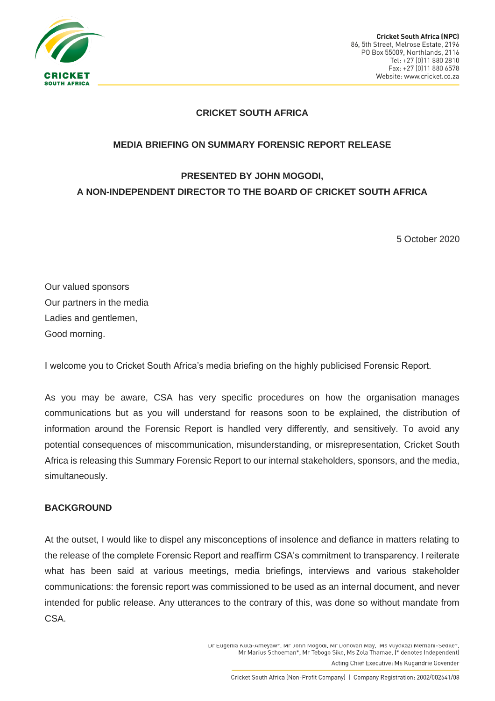

### **CRICKET SOUTH AFRICA**

#### **MEDIA BRIEFING ON SUMMARY FORENSIC REPORT RELEASE**

# **PRESENTED BY JOHN MOGODI, A NON-INDEPENDENT DIRECTOR TO THE BOARD OF CRICKET SOUTH AFRICA**

5 October 2020

Our valued sponsors Our partners in the media Ladies and gentlemen, Good morning.

I welcome you to Cricket South Africa's media briefing on the highly publicised Forensic Report.

As you may be aware, CSA has very specific procedures on how the organisation manages communications but as you will understand for reasons soon to be explained, the distribution of information around the Forensic Report is handled very differently, and sensitively. To avoid any potential consequences of miscommunication, misunderstanding, or misrepresentation, Cricket South Africa is releasing this Summary Forensic Report to our internal stakeholders, sponsors, and the media, simultaneously.

#### **BACKGROUND**

At the outset, I would like to dispel any misconceptions of insolence and defiance in matters relating to the release of the complete Forensic Report and reaffirm CSA's commitment to transparency. I reiterate what has been said at various meetings, media briefings, interviews and various stakeholder communications: the forensic report was commissioned to be used as an internal document, and never intended for public release. Any utterances to the contrary of this, was done so without mandate from CSA.

> DI Eugenia Nuta-Amerawi, Mi John Mogogi, Mi Donovan May, MS Vuvokazi Memani-Segne Mr Marius Schoeman\*, Mr Tebogo Siko, Ms Zola Thamae, (\* denotes Independent)

Acting Chief Executive: Ms Kugandrie Govender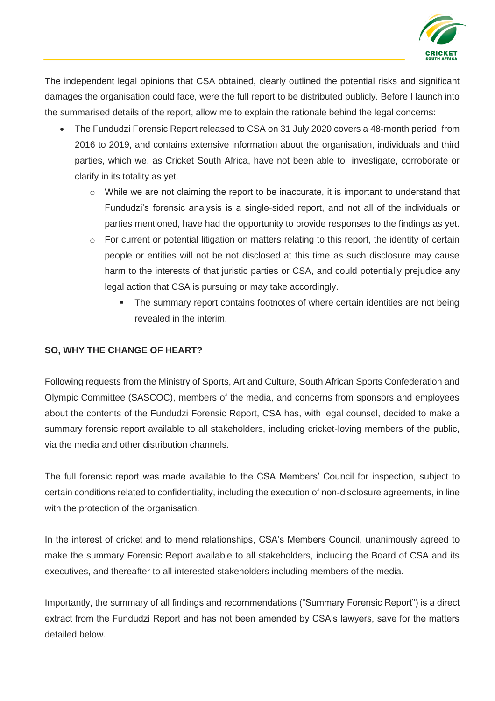

The independent legal opinions that CSA obtained, clearly outlined the potential risks and significant damages the organisation could face, were the full report to be distributed publicly. Before I launch into the summarised details of the report, allow me to explain the rationale behind the legal concerns:

- The Fundudzi Forensic Report released to CSA on 31 July 2020 covers a 48-month period, from 2016 to 2019, and contains extensive information about the organisation, individuals and third parties, which we, as Cricket South Africa, have not been able to investigate, corroborate or clarify in its totality as yet.
	- $\circ$  While we are not claiming the report to be inaccurate, it is important to understand that Fundudzi's forensic analysis is a single-sided report, and not all of the individuals or parties mentioned, have had the opportunity to provide responses to the findings as yet.
	- o For current or potential litigation on matters relating to this report, the identity of certain people or entities will not be not disclosed at this time as such disclosure may cause harm to the interests of that juristic parties or CSA, and could potentially prejudice any legal action that CSA is pursuing or may take accordingly.
		- **The summary report contains footnotes of where certain identities are not being** revealed in the interim.

## **SO, WHY THE CHANGE OF HEART?**

Following requests from the Ministry of Sports, Art and Culture, South African Sports Confederation and Olympic Committee (SASCOC), members of the media, and concerns from sponsors and employees about the contents of the Fundudzi Forensic Report, CSA has, with legal counsel, decided to make a summary forensic report available to all stakeholders, including cricket-loving members of the public, via the media and other distribution channels.

The full forensic report was made available to the CSA Members' Council for inspection, subject to certain conditions related to confidentiality, including the execution of non-disclosure agreements, in line with the protection of the organisation.

In the interest of cricket and to mend relationships, CSA's Members Council, unanimously agreed to make the summary Forensic Report available to all stakeholders, including the Board of CSA and its executives, and thereafter to all interested stakeholders including members of the media.

Importantly, the summary of all findings and recommendations ("Summary Forensic Report") is a direct extract from the Fundudzi Report and has not been amended by CSA's lawyers, save for the matters detailed below.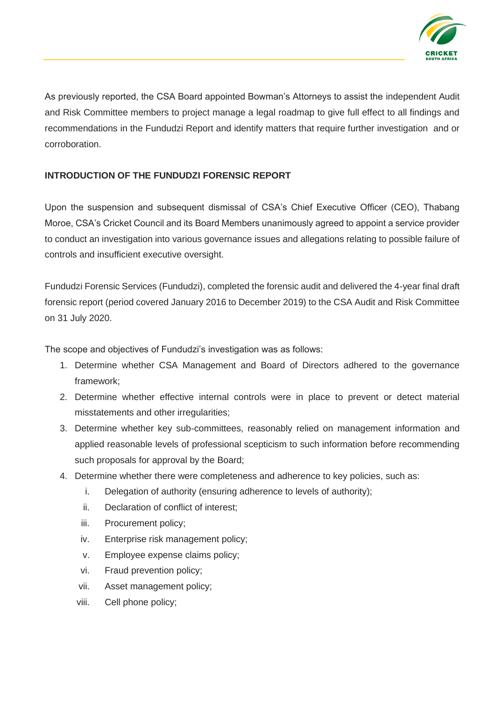

As previously reported, the CSA Board appointed Bowman's Attorneys to assist the independent Audit and Risk Committee members to project manage a legal roadmap to give full effect to all findings and recommendations in the Fundudzi Report and identify matters that require further investigation and or corroboration.

# **INTRODUCTION OF THE FUNDUDZI FORENSIC REPORT**

Upon the suspension and subsequent dismissal of CSA's Chief Executive Officer (CEO), Thabang Moroe, CSA's Cricket Council and its Board Members unanimously agreed to appoint a service provider to conduct an investigation into various governance issues and allegations relating to possible failure of controls and insufficient executive oversight.

Fundudzi Forensic Services (Fundudzi), completed the forensic audit and delivered the 4-year final draft forensic report (period covered January 2016 to December 2019) to the CSA Audit and Risk Committee on 31 July 2020.

The scope and objectives of Fundudzi's investigation was as follows:

- 1. Determine whether CSA Management and Board of Directors adhered to the governance framework;
- 2. Determine whether effective internal controls were in place to prevent or detect material misstatements and other irregularities;
- 3. Determine whether key sub-committees, reasonably relied on management information and applied reasonable levels of professional scepticism to such information before recommending such proposals for approval by the Board;
- 4. Determine whether there were completeness and adherence to key policies, such as:
	- i. Delegation of authority (ensuring adherence to levels of authority);
	- ii. Declaration of conflict of interest;
	- iii. Procurement policy;
	- iv. Enterprise risk management policy;
	- v. Employee expense claims policy;
	- vi. Fraud prevention policy;
	- vii. Asset management policy;
	- viii. Cell phone policy;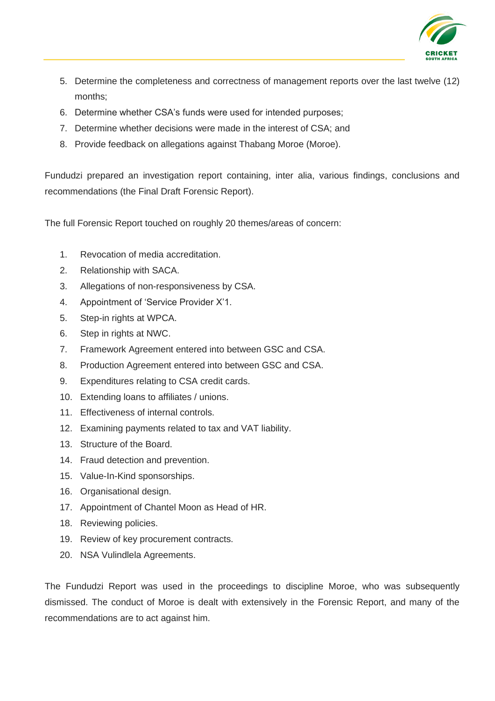

- 5. Determine the completeness and correctness of management reports over the last twelve (12) months;
- 6. Determine whether CSA's funds were used for intended purposes;
- 7. Determine whether decisions were made in the interest of CSA; and
- 8. Provide feedback on allegations against Thabang Moroe (Moroe).

Fundudzi prepared an investigation report containing, inter alia, various findings, conclusions and recommendations (the Final Draft Forensic Report).

The full Forensic Report touched on roughly 20 themes/areas of concern:

- 1. Revocation of media accreditation.
- 2. Relationship with SACA.
- 3. Allegations of non-responsiveness by CSA.
- 4. Appointment of 'Service Provider X'1.
- 5. Step-in rights at WPCA.
- 6. Step in rights at NWC.
- 7. Framework Agreement entered into between GSC and CSA.
- 8. Production Agreement entered into between GSC and CSA.
- 9. Expenditures relating to CSA credit cards.
- 10. Extending loans to affiliates / unions.
- 11. Effectiveness of internal controls.
- 12. Examining payments related to tax and VAT liability.
- 13. Structure of the Board.
- 14. Fraud detection and prevention.
- 15. Value-In-Kind sponsorships.
- 16. Organisational design.
- 17. Appointment of Chantel Moon as Head of HR.
- 18. Reviewing policies.
- 19. Review of key procurement contracts.
- 20. NSA Vulindlela Agreements.

The Fundudzi Report was used in the proceedings to discipline Moroe, who was subsequently dismissed. The conduct of Moroe is dealt with extensively in the Forensic Report, and many of the recommendations are to act against him.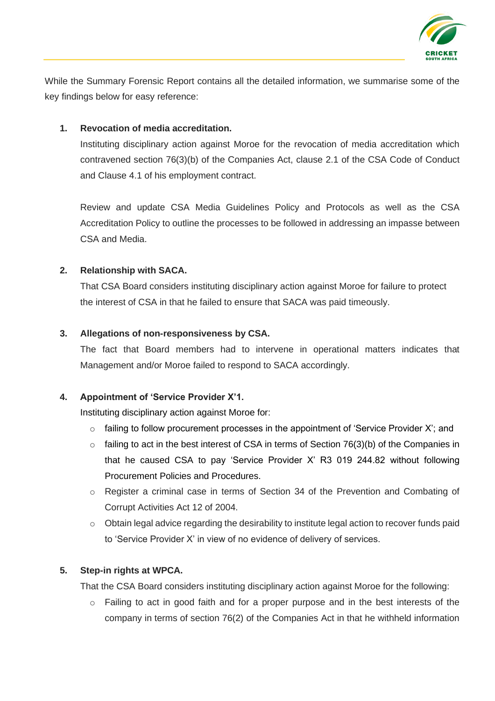

While the Summary Forensic Report contains all the detailed information, we summarise some of the key findings below for easy reference:

### **1. Revocation of media accreditation.**

Instituting disciplinary action against Moroe for the revocation of media accreditation which contravened section 76(3)(b) of the Companies Act, clause 2.1 of the CSA Code of Conduct and Clause 4.1 of his employment contract.

Review and update CSA Media Guidelines Policy and Protocols as well as the CSA Accreditation Policy to outline the processes to be followed in addressing an impasse between CSA and Media.

### **2. Relationship with SACA.**

That CSA Board considers instituting disciplinary action against Moroe for failure to protect the interest of CSA in that he failed to ensure that SACA was paid timeously.

#### **3. Allegations of non-responsiveness by CSA.**

The fact that Board members had to intervene in operational matters indicates that Management and/or Moroe failed to respond to SACA accordingly.

#### **4. Appointment of 'Service Provider X'1.**

Instituting disciplinary action against Moroe for:

- $\circ$  failing to follow procurement processes in the appointment of 'Service Provider X'; and
- $\circ$  failing to act in the best interest of CSA in terms of Section 76(3)(b) of the Companies in that he caused CSA to pay 'Service Provider X' R3 019 244.82 without following Procurement Policies and Procedures.
- o Register a criminal case in terms of Section 34 of the Prevention and Combating of Corrupt Activities Act 12 of 2004.
- o Obtain legal advice regarding the desirability to institute legal action to recover funds paid to 'Service Provider X' in view of no evidence of delivery of services.

#### **5. Step-in rights at WPCA.**

That the CSA Board considers instituting disciplinary action against Moroe for the following:

o Failing to act in good faith and for a proper purpose and in the best interests of the company in terms of section 76(2) of the Companies Act in that he withheld information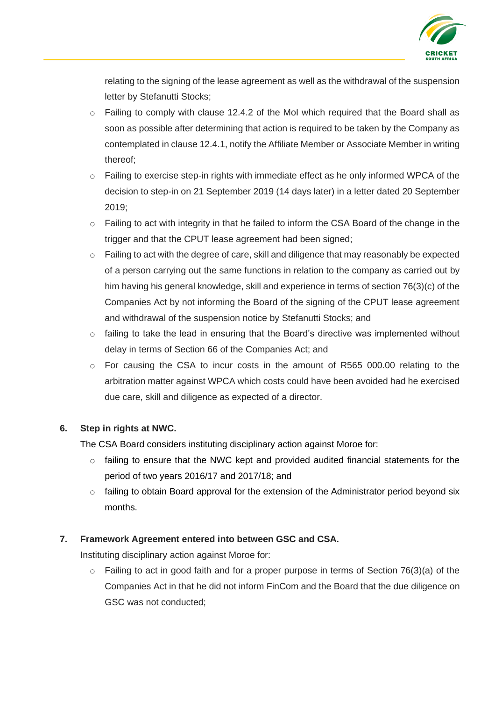

relating to the signing of the lease agreement as well as the withdrawal of the suspension letter by Stefanutti Stocks;

- $\circ$  Failing to comply with clause 12.4.2 of the MoI which required that the Board shall as soon as possible after determining that action is required to be taken by the Company as contemplated in clause 12.4.1, notify the Affiliate Member or Associate Member in writing thereof;
- o Failing to exercise step-in rights with immediate effect as he only informed WPCA of the decision to step-in on 21 September 2019 (14 days later) in a letter dated 20 September 2019;
- o Failing to act with integrity in that he failed to inform the CSA Board of the change in the trigger and that the CPUT lease agreement had been signed;
- o Failing to act with the degree of care, skill and diligence that may reasonably be expected of a person carrying out the same functions in relation to the company as carried out by him having his general knowledge, skill and experience in terms of section 76(3)(c) of the Companies Act by not informing the Board of the signing of the CPUT lease agreement and withdrawal of the suspension notice by Stefanutti Stocks; and
- $\circ$  failing to take the lead in ensuring that the Board's directive was implemented without delay in terms of Section 66 of the Companies Act; and
- $\circ$  For causing the CSA to incur costs in the amount of R565 000.00 relating to the arbitration matter against WPCA which costs could have been avoided had he exercised due care, skill and diligence as expected of a director.

### **6. Step in rights at NWC.**

The CSA Board considers instituting disciplinary action against Moroe for:

- $\circ$  failing to ensure that the NWC kept and provided audited financial statements for the period of two years 2016/17 and 2017/18; and
- o failing to obtain Board approval for the extension of the Administrator period beyond six months.

# **7. Framework Agreement entered into between GSC and CSA.**

Instituting disciplinary action against Moroe for:

 $\circ$  Failing to act in good faith and for a proper purpose in terms of Section 76(3)(a) of the Companies Act in that he did not inform FinCom and the Board that the due diligence on GSC was not conducted;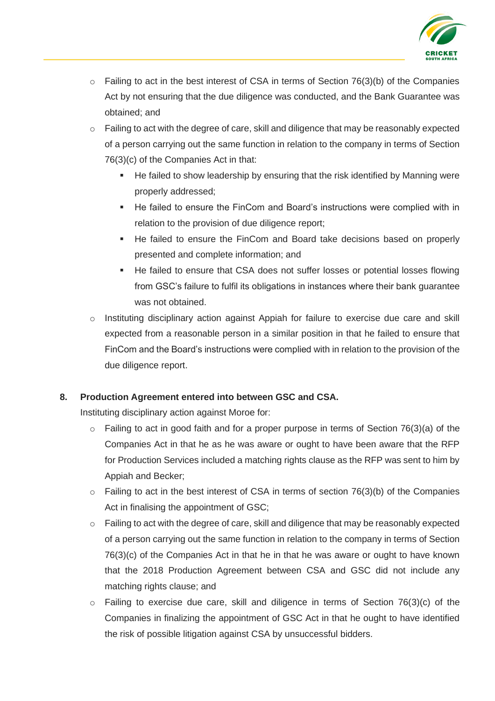

- $\circ$  Failing to act in the best interest of CSA in terms of Section 76(3)(b) of the Companies Act by not ensuring that the due diligence was conducted, and the Bank Guarantee was obtained; and
- o Failing to act with the degree of care, skill and diligence that may be reasonably expected of a person carrying out the same function in relation to the company in terms of Section 76(3)(c) of the Companies Act in that:
	- He failed to show leadership by ensuring that the risk identified by Manning were properly addressed;
	- He failed to ensure the FinCom and Board's instructions were complied with in relation to the provision of due diligence report;
	- He failed to ensure the FinCom and Board take decisions based on properly presented and complete information; and
	- He failed to ensure that CSA does not suffer losses or potential losses flowing from GSC's failure to fulfil its obligations in instances where their bank guarantee was not obtained.
- o Instituting disciplinary action against Appiah for failure to exercise due care and skill expected from a reasonable person in a similar position in that he failed to ensure that FinCom and the Board's instructions were complied with in relation to the provision of the due diligence report.

### **8. Production Agreement entered into between GSC and CSA.**

Instituting disciplinary action against Moroe for:

- $\circ$  Failing to act in good faith and for a proper purpose in terms of Section 76(3)(a) of the Companies Act in that he as he was aware or ought to have been aware that the RFP for Production Services included a matching rights clause as the RFP was sent to him by Appiah and Becker;
- $\circ$  Failing to act in the best interest of CSA in terms of section 76(3)(b) of the Companies Act in finalising the appointment of GSC;
- o Failing to act with the degree of care, skill and diligence that may be reasonably expected of a person carrying out the same function in relation to the company in terms of Section 76(3)(c) of the Companies Act in that he in that he was aware or ought to have known that the 2018 Production Agreement between CSA and GSC did not include any matching rights clause; and
- $\circ$  Failing to exercise due care, skill and diligence in terms of Section 76(3)(c) of the Companies in finalizing the appointment of GSC Act in that he ought to have identified the risk of possible litigation against CSA by unsuccessful bidders.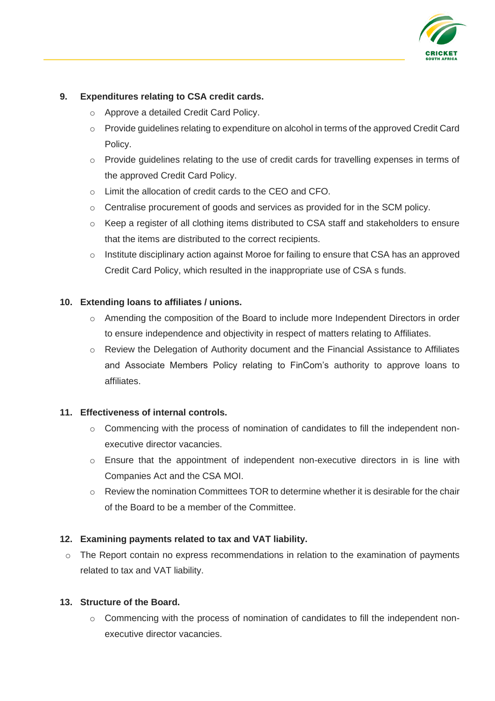

# **9. Expenditures relating to CSA credit cards.**

- o Approve a detailed Credit Card Policy.
- o Provide guidelines relating to expenditure on alcohol in terms of the approved Credit Card Policy.
- o Provide guidelines relating to the use of credit cards for travelling expenses in terms of the approved Credit Card Policy.
- o Limit the allocation of credit cards to the CEO and CFO.
- o Centralise procurement of goods and services as provided for in the SCM policy.
- o Keep a register of all clothing items distributed to CSA staff and stakeholders to ensure that the items are distributed to the correct recipients.
- o Institute disciplinary action against Moroe for failing to ensure that CSA has an approved Credit Card Policy, which resulted in the inappropriate use of CSA s funds.

### **10. Extending loans to affiliates / unions.**

- o Amending the composition of the Board to include more Independent Directors in order to ensure independence and objectivity in respect of matters relating to Affiliates.
- o Review the Delegation of Authority document and the Financial Assistance to Affiliates and Associate Members Policy relating to FinCom's authority to approve loans to affiliates.

### **11. Effectiveness of internal controls.**

- o Commencing with the process of nomination of candidates to fill the independent nonexecutive director vacancies.
- $\circ$  Ensure that the appointment of independent non-executive directors in is line with Companies Act and the CSA MOI.
- $\circ$  Review the nomination Committees TOR to determine whether it is desirable for the chair of the Board to be a member of the Committee.

### **12. Examining payments related to tax and VAT liability.**

o The Report contain no express recommendations in relation to the examination of payments related to tax and VAT liability.

### **13. Structure of the Board.**

o Commencing with the process of nomination of candidates to fill the independent nonexecutive director vacancies.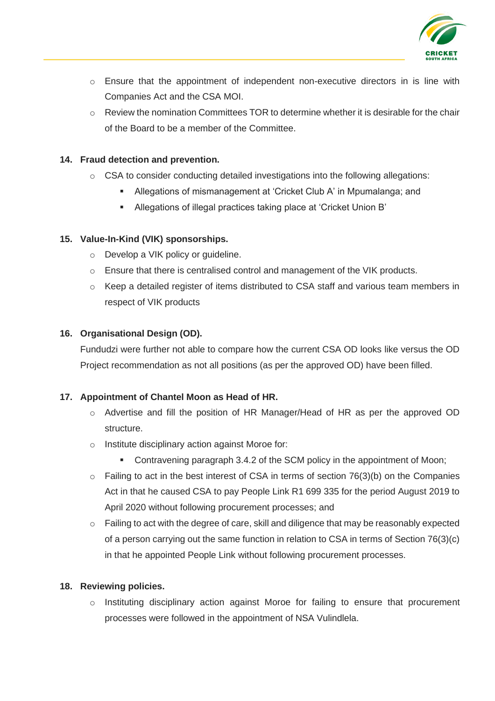

- o Ensure that the appointment of independent non-executive directors in is line with Companies Act and the CSA MOI.
- $\circ$  Review the nomination Committees TOR to determine whether it is desirable for the chair of the Board to be a member of the Committee.

## **14. Fraud detection and prevention.**

- o CSA to consider conducting detailed investigations into the following allegations:
	- Allegations of mismanagement at 'Cricket Club A' in Mpumalanga; and
	- Allegations of illegal practices taking place at 'Cricket Union B'

# **15. Value-In-Kind (VIK) sponsorships.**

- o Develop a VIK policy or guideline.
- $\circ$  Ensure that there is centralised control and management of the VIK products.
- o Keep a detailed register of items distributed to CSA staff and various team members in respect of VIK products

# **16. Organisational Design (OD).**

Fundudzi were further not able to compare how the current CSA OD looks like versus the OD Project recommendation as not all positions (as per the approved OD) have been filled.

### **17. Appointment of Chantel Moon as Head of HR.**

- o Advertise and fill the position of HR Manager/Head of HR as per the approved OD structure.
- o Institute disciplinary action against Moroe for:
	- **Contravening paragraph 3.4.2 of the SCM policy in the appointment of Moon;**
- $\circ$  Failing to act in the best interest of CSA in terms of section 76(3)(b) on the Companies Act in that he caused CSA to pay People Link R1 699 335 for the period August 2019 to April 2020 without following procurement processes; and
- o Failing to act with the degree of care, skill and diligence that may be reasonably expected of a person carrying out the same function in relation to CSA in terms of Section 76(3)(c) in that he appointed People Link without following procurement processes.

### **18. Reviewing policies.**

o Instituting disciplinary action against Moroe for failing to ensure that procurement processes were followed in the appointment of NSA Vulindlela.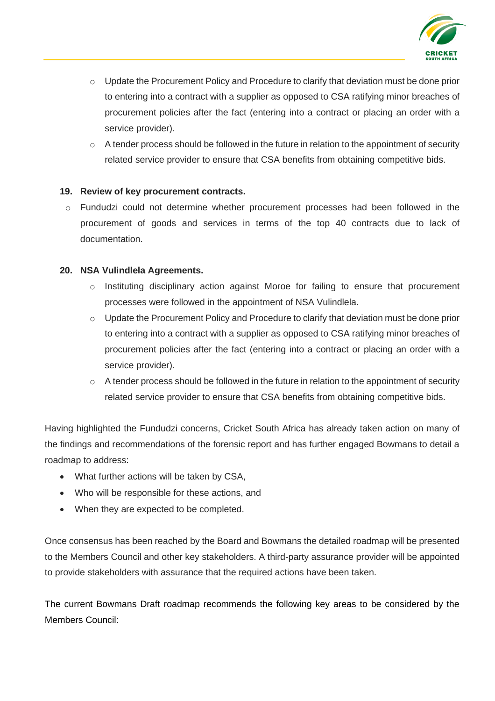

- o Update the Procurement Policy and Procedure to clarify that deviation must be done prior to entering into a contract with a supplier as opposed to CSA ratifying minor breaches of procurement policies after the fact (entering into a contract or placing an order with a service provider).
- $\circ$  A tender process should be followed in the future in relation to the appointment of security related service provider to ensure that CSA benefits from obtaining competitive bids.

# **19. Review of key procurement contracts.**

o Fundudzi could not determine whether procurement processes had been followed in the procurement of goods and services in terms of the top 40 contracts due to lack of documentation.

### **20. NSA Vulindlela Agreements.**

- o Instituting disciplinary action against Moroe for failing to ensure that procurement processes were followed in the appointment of NSA Vulindlela.
- o Update the Procurement Policy and Procedure to clarify that deviation must be done prior to entering into a contract with a supplier as opposed to CSA ratifying minor breaches of procurement policies after the fact (entering into a contract or placing an order with a service provider).
- $\circ$  A tender process should be followed in the future in relation to the appointment of security related service provider to ensure that CSA benefits from obtaining competitive bids.

Having highlighted the Fundudzi concerns, Cricket South Africa has already taken action on many of the findings and recommendations of the forensic report and has further engaged Bowmans to detail a roadmap to address:

- What further actions will be taken by CSA,
- Who will be responsible for these actions, and
- When they are expected to be completed.

Once consensus has been reached by the Board and Bowmans the detailed roadmap will be presented to the Members Council and other key stakeholders. A third-party assurance provider will be appointed to provide stakeholders with assurance that the required actions have been taken.

The current Bowmans Draft roadmap recommends the following key areas to be considered by the Members Council: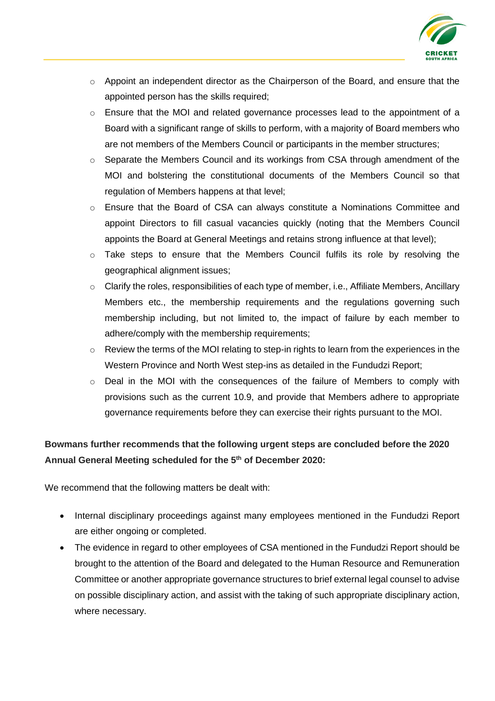

- o Appoint an independent director as the Chairperson of the Board, and ensure that the appointed person has the skills required;
- $\circ$  Ensure that the MOI and related governance processes lead to the appointment of a Board with a significant range of skills to perform, with a majority of Board members who are not members of the Members Council or participants in the member structures;
- $\circ$  Separate the Members Council and its workings from CSA through amendment of the MOI and bolstering the constitutional documents of the Members Council so that regulation of Members happens at that level;
- o Ensure that the Board of CSA can always constitute a Nominations Committee and appoint Directors to fill casual vacancies quickly (noting that the Members Council appoints the Board at General Meetings and retains strong influence at that level);
- $\circ$  Take steps to ensure that the Members Council fulfils its role by resolving the geographical alignment issues;
- o Clarify the roles, responsibilities of each type of member, i.e., Affiliate Members, Ancillary Members etc., the membership requirements and the regulations governing such membership including, but not limited to, the impact of failure by each member to adhere/comply with the membership requirements;
- $\circ$  Review the terms of the MOI relating to step-in rights to learn from the experiences in the Western Province and North West step-ins as detailed in the Fundudzi Report;
- $\circ$  Deal in the MOI with the consequences of the failure of Members to comply with provisions such as the current 10.9, and provide that Members adhere to appropriate governance requirements before they can exercise their rights pursuant to the MOI.

# **Bowmans further recommends that the following urgent steps are concluded before the 2020 Annual General Meeting scheduled for the 5th of December 2020:**

We recommend that the following matters be dealt with:

- Internal disciplinary proceedings against many employees mentioned in the Fundudzi Report are either ongoing or completed.
- The evidence in regard to other employees of CSA mentioned in the Fundudzi Report should be brought to the attention of the Board and delegated to the Human Resource and Remuneration Committee or another appropriate governance structures to brief external legal counsel to advise on possible disciplinary action, and assist with the taking of such appropriate disciplinary action, where necessary.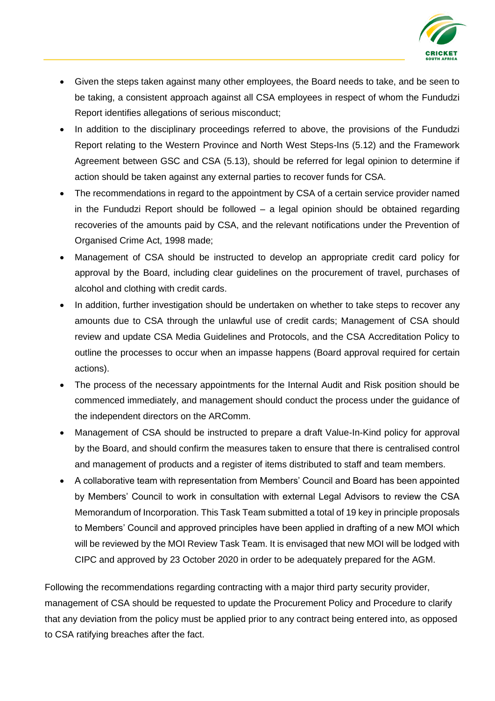

- Given the steps taken against many other employees, the Board needs to take, and be seen to be taking, a consistent approach against all CSA employees in respect of whom the Fundudzi Report identifies allegations of serious misconduct;
- In addition to the disciplinary proceedings referred to above, the provisions of the Fundudzi Report relating to the Western Province and North West Steps-Ins (5.12) and the Framework Agreement between GSC and CSA (5.13), should be referred for legal opinion to determine if action should be taken against any external parties to recover funds for CSA.
- The recommendations in regard to the appointment by CSA of a certain service provider named in the Fundudzi Report should be followed – a legal opinion should be obtained regarding recoveries of the amounts paid by CSA, and the relevant notifications under the Prevention of Organised Crime Act, 1998 made;
- Management of CSA should be instructed to develop an appropriate credit card policy for approval by the Board, including clear guidelines on the procurement of travel, purchases of alcohol and clothing with credit cards.
- In addition, further investigation should be undertaken on whether to take steps to recover any amounts due to CSA through the unlawful use of credit cards; Management of CSA should review and update CSA Media Guidelines and Protocols, and the CSA Accreditation Policy to outline the processes to occur when an impasse happens (Board approval required for certain actions).
- The process of the necessary appointments for the Internal Audit and Risk position should be commenced immediately, and management should conduct the process under the guidance of the independent directors on the ARComm.
- Management of CSA should be instructed to prepare a draft Value-In-Kind policy for approval by the Board, and should confirm the measures taken to ensure that there is centralised control and management of products and a register of items distributed to staff and team members.
- A collaborative team with representation from Members' Council and Board has been appointed by Members' Council to work in consultation with external Legal Advisors to review the CSA Memorandum of Incorporation. This Task Team submitted a total of 19 key in principle proposals to Members' Council and approved principles have been applied in drafting of a new MOI which will be reviewed by the MOI Review Task Team. It is envisaged that new MOI will be lodged with CIPC and approved by 23 October 2020 in order to be adequately prepared for the AGM.

Following the recommendations regarding contracting with a major third party security provider, management of CSA should be requested to update the Procurement Policy and Procedure to clarify that any deviation from the policy must be applied prior to any contract being entered into, as opposed to CSA ratifying breaches after the fact.